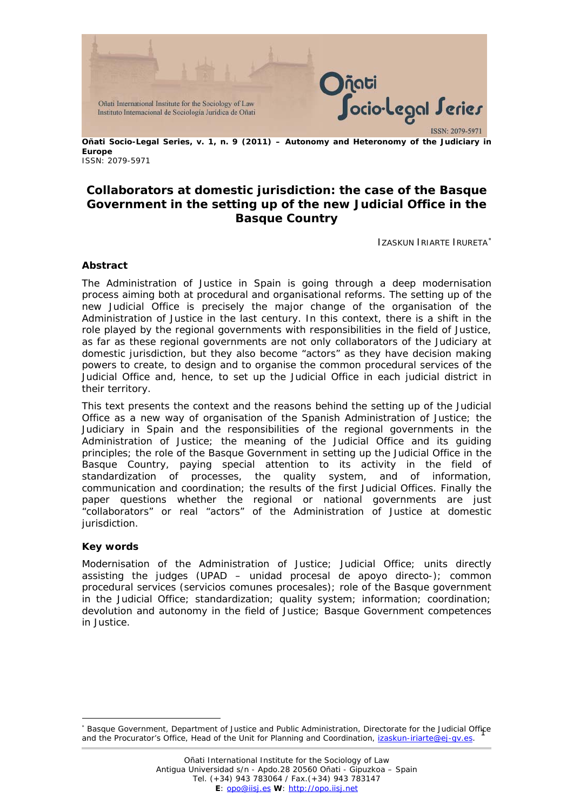

**Oñati Socio-Legal Series, v. 1, n. 9 (2011) – Autonomy and Heteronomy of the Judiciary in Europe**  ISSN: 2079-5971

# **Collaborators at domestic jurisdiction: the case of the Basque Government in the setting up of the new Judicial Office in the Basque Country**

IZASKUN IRIARTE IRURETA[∗](#page-0-0)

#### **Abstract**

The Administration of Justice in Spain is going through a deep modernisation process aiming both at procedural and organisational reforms. The setting up of the new Judicial Office is precisely the major change of the organisation of the Administration of Justice in the last century. In this context, there is a shift in the role played by the regional governments with responsibilities in the field of Justice, as far as these regional governments are not only collaborators of the Judiciary at domestic jurisdiction, but they also become "actors" as they have decision making powers to create, to design and to organise the common procedural services of the Judicial Office and, hence, to set up the Judicial Office in each judicial district in their territory.

This text presents the context and the reasons behind the setting up of the Judicial Office as a new way of organisation of the Spanish Administration of Justice; the Judiciary in Spain and the responsibilities of the regional governments in the Administration of Justice; the meaning of the Judicial Office and its guiding principles; the role of the Basque Government in setting up the Judicial Office in the Basque Country, paying special attention to its activity in the field of standardization of processes, the quality system, and of information, communication and coordination; the results of the first Judicial Offices. Finally the paper questions whether the regional or national governments are just "collaborators" or real "actors" of the Administration of Justice at domestic jurisdiction.

#### **Key words**

 $\overline{a}$ 

Modernisation of the Administration of Justice; Judicial Office; units directly assisting the judges (*UPAD* – *unidad procesal de apoyo directo*-); common procedural services (servicios comunes procesales); role of the Basque government in the Judicial Office; standardization; quality system; information; coordination; devolution and autonomy in the field of Justice; Basque Government competences in Justice.

<span id="page-0-0"></span><sup>1</sup> ∗ Basque Government, Department of Justice and Public Administration, Directorate for the Judicial Office and the Procurator's Office, Head of the Unit for Planning and Coordination, izaskun-iriarte@ej-qv.es.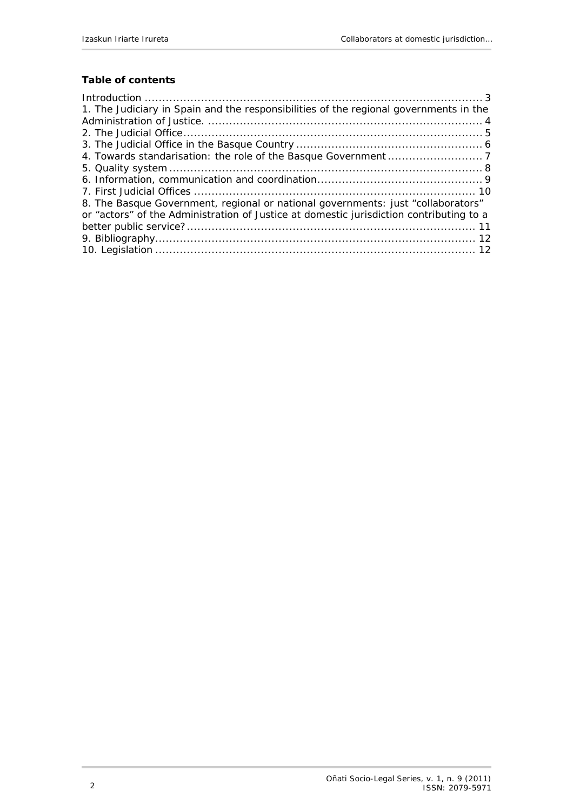## **Table of contents**

| 1. The Judiciary in Spain and the responsibilities of the regional governments in the   |
|-----------------------------------------------------------------------------------------|
|                                                                                         |
|                                                                                         |
|                                                                                         |
|                                                                                         |
|                                                                                         |
|                                                                                         |
|                                                                                         |
| 8. The Basque Government, regional or national governments: just "collaborators"        |
| or "actors" of the Administration of Justice at domestic jurisdiction contributing to a |
|                                                                                         |
|                                                                                         |
|                                                                                         |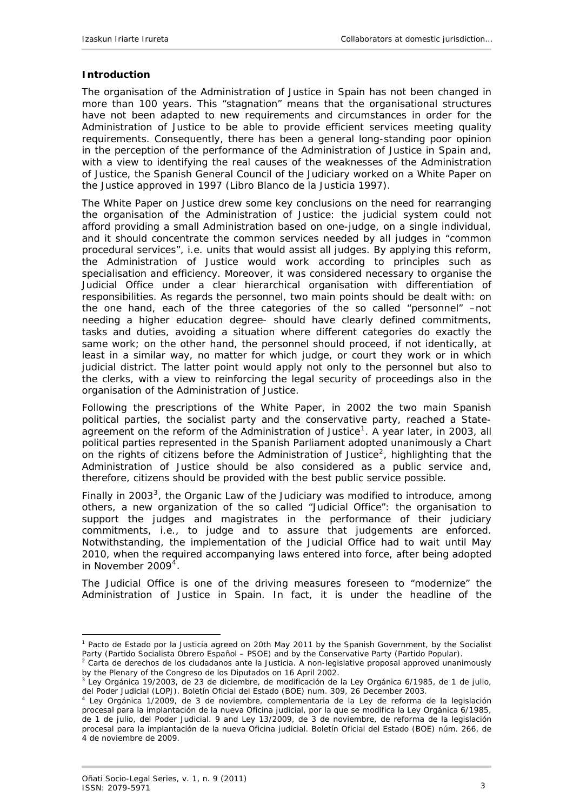## <span id="page-2-0"></span>**Introduction**

The organisation of the Administration of Justice in Spain has not been changed in more than 100 years. This "stagnation" means that the organisational structures have not been adapted to new requirements and circumstances in order for the Administration of Justice to be able to provide efficient services meeting quality requirements. Consequently, there has been a general long-standing poor opinion in the perception of the performance of the Administration of Justice in Spain and, with a view to identifying the real causes of the weaknesses of the Administration of Justice, the Spanish General Council of the Judiciary worked on a White Paper on the Justice approved in 1997 (*Libro Blanco de la Justicia* 1997).

The White Paper on Justice drew some key conclusions on the need for rearranging the organisation of the Administration of Justice: the judicial system could not afford providing a small Administration based on one-judge, on a single individual, and it should concentrate the common services needed by all judges in "common procedural services", i.e. units that would assist all judges. By applying this reform, the Administration of Justice would work according to principles such as specialisation and efficiency. Moreover, it was considered necessary to organise the Judicial Office under a clear hierarchical organisation with differentiation of responsibilities. As regards the personnel, two main points should be dealt with: on the one hand, each of the three categories of the so called "personnel" –not needing a higher education degree- should have clearly defined commitments, tasks and duties, avoiding a situation where different categories do exactly the same work; on the other hand, the personnel should proceed, if not identically, at least in a similar way, no matter for which judge, or court they work or in which judicial district. The latter point would apply not only to the personnel but also to the clerks, with a view to reinforcing the legal security of proceedings also in the organisation of the Administration of Justice.

Following the prescriptions of the White Paper, in 2002 the two main Spanish political parties, the socialist party and the conservative party, reached a State-agreement on the reform of the Administration of Justice<sup>[1](#page-2-1)</sup>. A year later, in 2003, all political parties represented in the Spanish Parliament adopted unanimously a Chart on the rights of citizens before the Administration of Justice<sup>[2](#page-2-2)</sup>, highlighting that the Administration of Justice should be also considered as a public service and, therefore, citizens should be provided with the best public service possible.

Finally in 200[3](#page-2-3)<sup>3</sup>, the Organic Law of the Judiciary was modified to introduce, among others, a new organization of the so called "Judicial Office": the organisation to support the judges and magistrates in the performance of their judiciary commitments, i.e., to judge and to assure that judgements are enforced. Notwithstanding, the implementation of the Judicial Office had to wait until May 2010, when the required accompanying laws entered into force, after being adopted in November  $2009<sup>4</sup>$  $2009<sup>4</sup>$  $2009<sup>4</sup>$ 

The Judicial Office is one of the driving measures foreseen to "modernize" the Administration of Justice in Spain. In fact, it is under the headline of the

<span id="page-2-1"></span><sup>1</sup> *Pacto de Estado por la Justicia* agreed on 20th May 2011 by the Spanish Government, by the Socialist Party (*Partido Socialista Obrero Español – PSOE*) and by the Conservative Party (*Partido Popular)*. 2 *Carta de derechos de los ciudadanos ante la Justicia.* A non-legislative proposal approved unanimously

<span id="page-2-2"></span>by the Plenary of the Congreso de los Diputados on 16 April 2002.

<span id="page-2-3"></span><sup>3</sup> Ley Orgánica 19/2003, de 23 de diciembre, de modificación de la Ley Orgánica 6/1985, de 1 de julio, del Poder Judicial (LOPJ). Boletín Oficial del Estado (BOE) num. 309, 26 December 2003.

<span id="page-2-4"></span><sup>4</sup> Ley Orgánica 1/2009, de 3 de noviembre, complementaria de la Ley de reforma de la legislación procesal para la implantación de la nueva Oficina judicial, por la que se modifica la Ley Orgánica 6/1985, de 1 de julio, del Poder Judicial. 9 and Ley 13/2009, de 3 de noviembre, de reforma de la legislación procesal para la implantación de la nueva Oficina judicial. Boletín Oficial del Estado (BOE) núm. 266, de 4 de noviembre de 2009.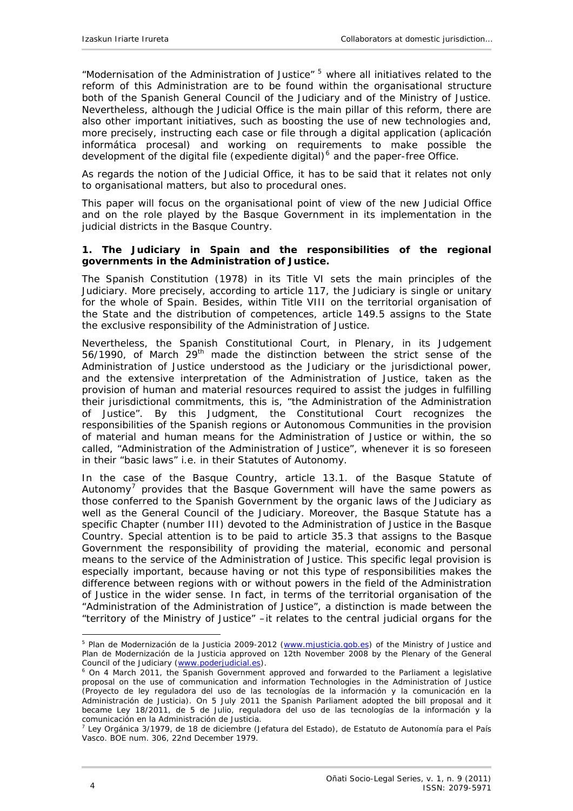<span id="page-3-0"></span>"Modernisation of the Administration of Justice" [5](#page-3-1) where all initiatives related to the reform of this Administration are to be found within the organisational structure both of the Spanish General Council of the Judiciary and of the Ministry of Justice. Nevertheless, although the Judicial Office is the main pillar of this reform, there are also other important initiatives, such as boosting the use of new technologies and, more precisely, instructing each case or file through a digital application (*aplicación informática procesal*) and working on requirements to make possible the development of the digital file (*expediente digital*)<sup>[6](#page-3-2)</sup> and the paper-free Office.

As regards the notion of the Judicial Office, it has to be said that it relates not only to organisational matters, but also to procedural ones.

This paper will focus on the organisational point of view of the new Judicial Office and on the role played by the Basque Government in its implementation in the judicial districts in the Basque Country.

#### **1. The Judiciary in Spain and the responsibilities of the regional governments in the Administration of Justice.**

The Spanish Constitution (1978) in its Title VI sets the main principles of the Judiciary. More precisely, according to article 117, the Judiciary is single or unitary for the whole of Spain. Besides, within Title VIII on the territorial organisation of the State and the distribution of competences, article 149.5 assigns to the State the exclusive responsibility of the Administration of Justice.

Nevertheless, the Spanish Constitutional Court, in Plenary, in its Judgement 56/1990, of March 29th made the distinction between the strict sense of the Administration of Justice understood as the Judiciary or the jurisdictional power, and the extensive interpretation of the Administration of Justice, taken as the provision of human and material resources required to assist the judges in fulfilling their jurisdictional commitments, this is, "the Administration of the Administration of Justice". By this Judgment, the Constitutional Court recognizes the responsibilities of the Spanish regions or Autonomous Communities in the provision of material and human means for the Administration of Justice or within, the so called, "Administration of the Administration of Justice", whenever it is so foreseen in their "basic laws" i.e. in their Statutes of Autonomy.

In the case of the Basque Country, article 13.1. of the Basque Statute of Autonomy<sup>[7](#page-3-3)</sup> provides that the Basque Government will have the same powers as those conferred to the Spanish Government by the organic laws of the Judiciary as well as the General Council of the Judiciary. Moreover, the Basque Statute has a specific Chapter (number III) devoted to the Administration of Justice in the Basque Country. Special attention is to be paid to article 35.3 that assigns to the Basque Government the responsibility of providing the material, economic and personal means to the service of the Administration of Justice. This specific legal provision is especially important, because having or not this type of responsibilities makes the difference between regions with or without powers in the field of the Administration of Justice in the wider sense. In fact, in terms of the territorial organisation of the "Administration of the Administration of Justice", a distinction is made between the "territory of the Ministry of Justice" –it relates to the central judicial organs for the

<span id="page-3-1"></span> $\overline{a}$ <sup>5</sup> *Plan de Modernización de la Justicia 2009-2012* ([www.mjusticia.gob.es](http://www.mjusticia.gob.es/)) of the Ministry of Justice and *Plan de Modernización de la Justicia* approved on 12th November 2008 by the Plenary of the General Council of the Judiciary ([www.poderjudicial.es\)](http://www.poderjudicial.es/).

<span id="page-3-2"></span><sup>&</sup>lt;sup>6</sup> On 4 March 2011, the Spanish Government approved and forwarded to the Parliament a legislative proposal on the use of communication and information Technologies in the Administration of Justice (*Proyecto de ley reguladora del uso de las tecnologías de la información y la comunicación en la Administración de Justicia).* On 5 July 2011 the Spanish Parliament adopted the bill proposal and it became *Ley 18/2011, de 5 de Julio, reguladora del uso de las tecnologías de la información y la comunicación en la Administración de Justicia*. 7

<span id="page-3-3"></span>Ley Orgánica 3/1979, de 18 de diciembre (Jefatura del Estado), de Estatuto de Autonomía para el País Vasco. BOE num. 306, 22nd December 1979.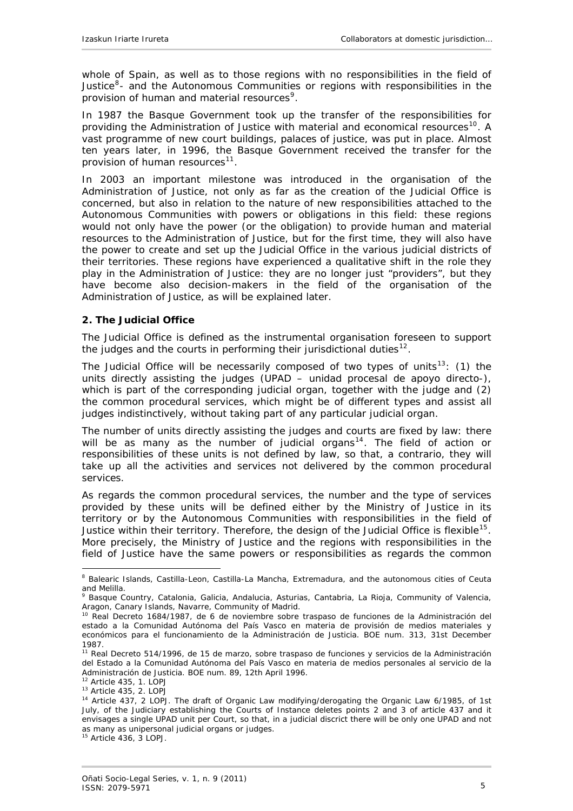<span id="page-4-0"></span>whole of Spain, as well as to those regions with no responsibilities in the field of Justice $8 8-$  and the Autonomous Communities or regions with responsibilities in the provision of human and material resources<sup>[9](#page-4-2)</sup>.

In 1987 the Basque Government took up the transfer of the responsibilities for providing the Administration of Justice with material and economical resources<sup>[10](#page-4-3)</sup>. A vast programme of new court buildings, palaces of justice, was put in place. Almost ten years later, in 1996, the Basque Government received the transfer for the provision of human resources<sup>[11](#page-4-4)</sup>.

In 2003 an important milestone was introduced in the organisation of the Administration of Justice, not only as far as the creation of the Judicial Office is concerned, but also in relation to the nature of new responsibilities attached to the Autonomous Communities with powers or obligations in this field: these regions would not only have the power (or the obligation) to provide human and material resources to the Administration of Justice, but for the first time, they will also have the power to create and set up the Judicial Office in the various judicial districts of their territories. These regions have experienced a qualitative shift in the role they play in the Administration of Justice: they are no longer just "providers", but they have become also decision-makers in the field of the organisation of the Administration of Justice, as will be explained later.

### **2. The Judicial Office**

The Judicial Office is defined as the instrumental organisation foreseen to support the judges and the courts in performing their jurisdictional duties<sup>[12](#page-4-5)</sup>.

The Judicial Office will be necessarily composed of two types of units<sup>[13](#page-4-6)</sup>: (1) the units directly assisting the judges (*UPAD* – *unidad procesal de apoyo directo*-), which is part of the corresponding judicial organ, together with the judge and (2) the common procedural services, which might be of different types and assist all judges indistinctively, without taking part of any particular judicial organ.

The number of units directly assisting the judges and courts are fixed by law: there will be as many as the number of judicial organs<sup>[14](#page-4-7)</sup>. The field of action or responsibilities of these units is not defined by law, so that, a contrario, they will take up all the activities and services not delivered by the common procedural services.

As regards the common procedural services, the number and the type of services provided by these units will be defined either by the Ministry of Justice in its territory or by the Autonomous Communities with responsibilities in the field of Justice within their territory. Therefore, the design of the Judicial Office is flexible<sup>[15](#page-4-8)</sup>. More precisely, the Ministry of Justice and the regions with responsibilities in the field of Justice have the same powers or responsibilities as regards the common

<span id="page-4-1"></span><sup>&</sup>lt;sup>8</sup> Balearic Islands, Castilla-Leon, Castilla-La Mancha, Extremadura, and the autonomous cities of Ceuta and Melilla.

<span id="page-4-2"></span><sup>9</sup> Basque Country, Catalonia, Galicia, Andalucia, Asturias, Cantabria, La Rioja, Community of Valencia, Aragon, Canary Islands, Navarre, Community of Madrid.

<span id="page-4-3"></span><sup>&</sup>lt;sup>10</sup> Real Decreto 1684/1987, de 6 de noviembre sobre traspaso de funciones de la Administración del estado a la Comunidad Autónoma del País Vasco en materia de provisión de medios materiales y económicos para el funcionamiento de la Administración de Justicia. BOE num. 313, 31st December 1987.

<span id="page-4-4"></span><sup>&</sup>lt;sup>11</sup> Real Decreto 514/1996, de 15 de marzo, sobre traspaso de funciones y servicios de la Administración del Estado a la Comunidad Autónoma del País Vasco en materia de medios personales al servicio de la Administración de Justicia. BOE num. 89, 12th April 1996.

<span id="page-4-7"></span><span id="page-4-6"></span><span id="page-4-5"></span><sup>&</sup>lt;sup>13</sup> Article 435, 2. LOPJ<br><sup>14</sup> Article 437, 2 LOPJ. The draft of Organic Law modifying/derogating the Organic Law 6/1985, of 1st July, of the Judiciary establishing the Courts of Instance deletes points 2 and 3 of article 437 and it envisages a single UPAD unit per Court, so that, in a judicial discrict there will be only one UPAD and not as many as unipersonal judicial organs or judges.

<span id="page-4-8"></span><sup>&</sup>lt;sup>15</sup> Article 436, 3 LOPJ.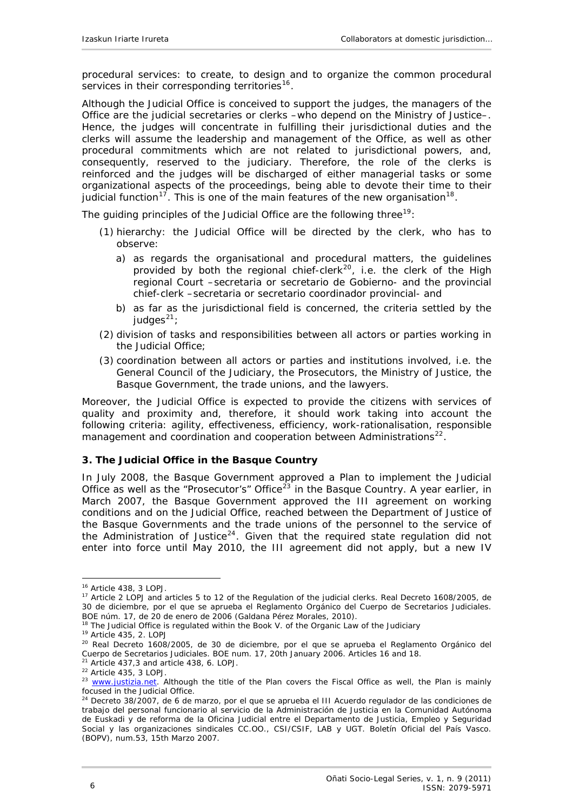<span id="page-5-0"></span>procedural services: to create, to design and to organize the common procedural services in their corresponding territories<sup>[16](#page-5-1)</sup>.

Although the Judicial Office is conceived to support the judges, the managers of the Office are the judicial secretaries or clerks –who depend on the Ministry of Justice–. Hence, the judges will concentrate in fulfilling their jurisdictional duties and the clerks will assume the leadership and management of the Office, as well as other procedural commitments which are not related to jurisdictional powers, and, consequently, reserved to the judiciary. Therefore, the role of the clerks is reinforced and the judges will be discharged of either managerial tasks or some organizational aspects of the proceedings, being able to devote their time to their judicial function<sup>[17](#page-5-2)</sup>. This is one of the main features of the new organisation<sup>[18](#page-5-3)</sup>.

The guiding principles of the Judicial Office are the following three<sup>[19](#page-5-4)</sup>:

- (1) hierarchy: the Judicial Office will be directed by the clerk, who has to observe:
	- a) as regards the organisational and procedural matters, the guidelines provided by both the regional chief-clerk<sup>[20](#page-5-5)</sup>, i.e. the clerk of the High regional Court –*secretaria* or *secretario de Gobierno*- and the provincial chief-clerk –*secretaria* or *secretario coordinador provincial*- and
	- b) as far as the jurisdictional field is concerned, the criteria settled by the judges $21$ ;
- (2) division of tasks and responsibilities between all actors or parties working in the Judicial Office;
- (3) coordination between all actors or parties and institutions involved, i.e. the General Council of the Judiciary, the Prosecutors, the Ministry of Justice, the Basque Government, the trade unions, and the lawyers.

Moreover, the Judicial Office is expected to provide the citizens with services of quality and proximity and, therefore, it should work taking into account the following criteria: agility, effectiveness, efficiency, work-rationalisation, responsible management and coordination and cooperation between Administrations<sup>[22](#page-5-7)</sup>.

#### **3. The Judicial Office in the Basque Country**

In July 2008, the Basque Government approved a Plan to implement the Judicial Office as well as the "Prosecutor's" Office<sup>[23](#page-5-8)</sup> in the Basque Country. A year earlier, in March 2007, the Basque Government approved the III agreement on working conditions and on the Judicial Office, reached between the Department of Justice of the Basque Governments and the trade unions of the personnel to the service of the Administration of Justice<sup>[24](#page-5-9)</sup>. Given that the required state regulation did not enter into force until May 2010, the III agreement did not apply, but a new IV

<span id="page-5-2"></span><span id="page-5-1"></span><sup>&</sup>lt;sup>16</sup> Article 438, 3 LOPJ.<br><sup>17</sup> Article 2 LOPJ and articles 5 to 12 of the Regulation of the judicial clerks. *Real Decreto 1608/2005, de 30 de diciembre, por el que se aprueba el Reglamento Orgánico del Cuerpo de Secretarios Judiciales.* BOE núm. 17, de 20 de enero de 2006 (Galdana Pérez Morales, 2010).<br><sup>18</sup> The Judicial Office is regulated within the Book V. of the Organic Law of the Judiciary

<span id="page-5-5"></span><span id="page-5-4"></span><span id="page-5-3"></span><sup>&</sup>lt;sup>19</sup> Article 435, 2. LOPJ  $\frac{1}{20}$  de  $\frac{1}{20}$  de diciembre, por el que se aprueba el Reglamento Orgánico del Cuerpo de Secretarios Judiciales. BOE num. 17, 20th January 2006. Articles 16 and 18.<br><sup>21</sup> Article 437.3 and article 438. 6. LOPJ.

<span id="page-5-8"></span><span id="page-5-7"></span><span id="page-5-6"></span><sup>&</sup>lt;sup>22</sup> Article 435, 3 LOPJ.<br><sup>23</sup> [www.justizia.net.](http://www.justizia.net/) Although the title of the Plan covers the Fiscal Office as well, the Plan is mainly focused in the Judicial Office.

<span id="page-5-9"></span><sup>24</sup> *Decreto 38/2007, de 6 de marzo, por el que se aprueba el III Acuerdo regulador de las condiciones de trabajo del personal funcionario al servicio de la Administración de Justicia en la Comunidad Autónoma de Euskadi y de reforma de la Oficina Judicial entre el Departamento de Justicia, Empleo y Seguridad Social y las organizaciones sindicales CC.OO., CSI/CSIF, LAB y UGT. Boletín Oficial del País Vasco*. (BOPV), num.53, 15th Marzo 2007.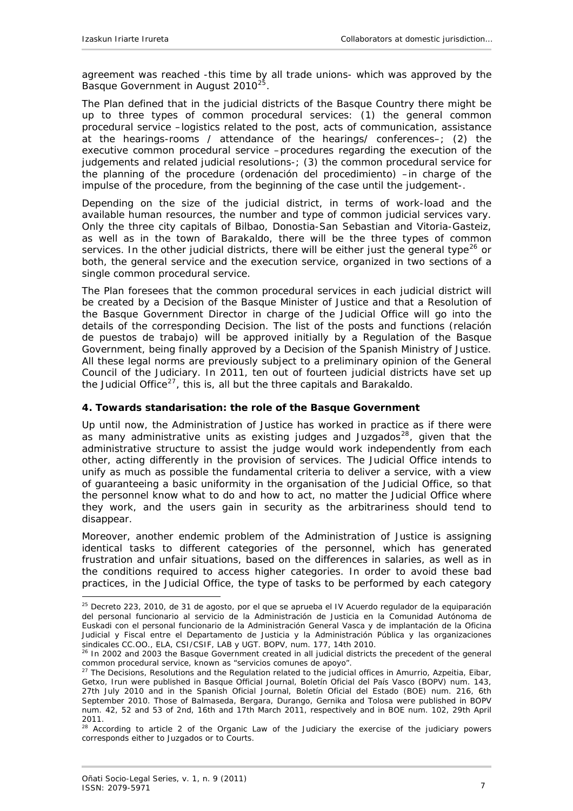<span id="page-6-0"></span>agreement was reached -this time by all trade unions- which was approved by the Basque Government in August 2010<sup>[25](#page-6-1)</sup>.

The Plan defined that in the judicial districts of the Basque Country there might be up to three types of common procedural services: (1) the general common procedural service –logistics related to the post, acts of communication, assistance at the hearings-rooms / attendance of the hearings/ conferences–; (2) the executive common procedural service –procedures regarding the execution of the judgements and related judicial resolutions-; (3) the common procedural service for the planning of the procedure (*ordenación del procedimiento*) –in charge of the impulse of the procedure, from the beginning of the case until the judgement-.

Depending on the size of the judicial district, in terms of work-load and the available human resources, the number and type of common judicial services vary. Only the three city capitals of Bilbao, Donostia-San Sebastian and Vitoria-Gasteiz, as well as in the town of Barakaldo, there will be the three types of common services. In the other judicial districts, there will be either just the general type<sup>[26](#page-6-2)</sup> or both, the general service and the execution service, organized in two sections of a single common procedural service.

The Plan foresees that the common procedural services in each judicial district will be created by a Decision of the Basque Minister of Justice and that a Resolution of the Basque Government Director in charge of the Judicial Office will go into the details of the corresponding Decision. The list of the posts and functions *(relación de puestos de trabajo)* will be approved initially by a Regulation of the Basque Government, being finally approved by a Decision of the Spanish Ministry of Justice. All these legal norms are previously subject to a preliminary opinion of the General Council of the Judiciary. In 2011, ten out of fourteen judicial districts have set up the Judicial Office<sup>[27](#page-6-3)</sup>, this is, all but the three capitals and Barakaldo.

## **4. Towards standarisation: the role of the Basque Government**

Up until now, the Administration of Justice has worked in practice as if there were as many administrative units as existing judges and *Juzgados[28](#page-6-4)*, given that the administrative structure to assist the judge would work independently from each other, acting differently in the provision of services. The Judicial Office intends to unify as much as possible the fundamental criteria to deliver a service, with a view of guaranteeing a basic uniformity in the organisation of the Judicial Office, so that the personnel know what to do and how to act, no matter the Judicial Office where they work, and the users gain in security as the arbitrariness should tend to disappear.

Moreover, another endemic problem of the Administration of Justice is assigning identical tasks to different categories of the personnel, which has generated frustration and unfair situations, based on the differences in salaries, as well as in the conditions required to access higher categories. In order to avoid these bad practices, in the Judicial Office, the type of tasks to be performed by each category

<span id="page-6-1"></span><sup>25</sup> *Decreto 223, 2010, de 31 de agosto, por el que se aprueba el IV Acuerdo regulador de la equiparación del personal funcionario al servicio de la Administración de Justicia en la Comunidad Autónoma de Euskadi con el personal funcionario de la Administración General Vasca y de implantación de la Oficina Judicial y Fiscal entre el Departamento de Justicia y la Administración Pública y las organizaciones* 

<span id="page-6-2"></span>sindicates CC.O<sub>I</sub>, EL, CC.OC. ELA, C<sub>UL</sub>, ELA, COVERTIBUTE: The Interaction all judicial districts the precedent of the general<br>common procedural service, known as "*servicios comunes de apovo*".

<span id="page-6-3"></span><sup>&</sup>lt;sup>27</sup> The Decisions, Resolutions and the Regulation related to the judicial offices in Amurrio, Azpeitia, Eibar, Getxo, Irun were published in Basque Official Journal, *Boletín Oficial del País Vasco* (BOPV) num. 143, 27th July 2010 and in the Spanish Oficial Journal, *Boletín Oficial del Estado* (BOE) num. 216, 6th September 2010. Those of Balmaseda, Bergara, Durango, Gernika and Tolosa were published in BOPV num. 42, 52 and 53 of 2nd, 16th and 17th March 2011, respectively and in BOE num. 102, 29th April 2011.

<span id="page-6-4"></span><sup>&</sup>lt;sup>28</sup> According to article 2 of the Organic Law of the Judiciary the exercise of the judiciary powers corresponds either to Juzgados or to Courts.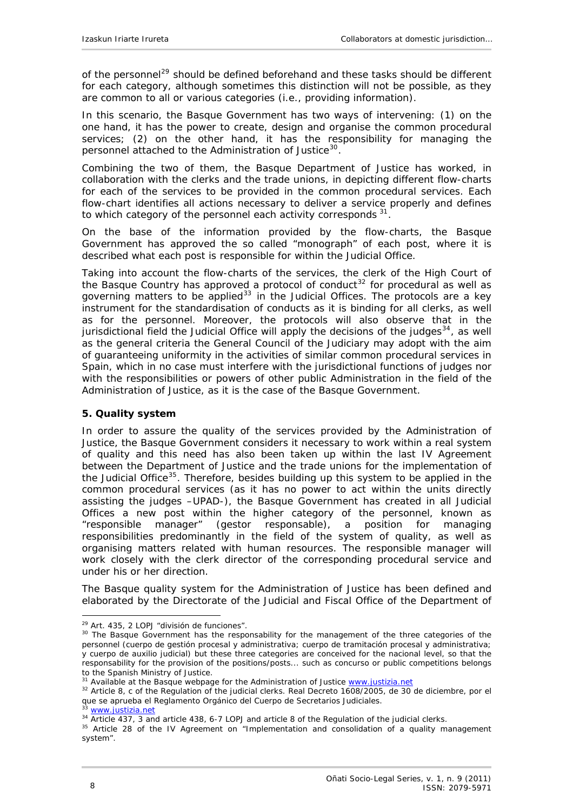<span id="page-7-0"></span>of the personnel<sup>[29](#page-7-1)</sup> should be defined beforehand and these tasks should be different for each category, although sometimes this distinction will not be possible, as they are common to all or various categories (i.e., providing information).

In this scenario, the Basque Government has two ways of intervening: (1) on the one hand, it has the power to create, design and organise the common procedural services; (2) on the other hand, it has the responsibility for managing the personnel attached to the Administration of Justice<sup>[30](#page-7-2)</sup>.

Combining the two of them, the Basque Department of Justice has worked, in collaboration with the clerks and the trade unions, in depicting different flow-charts for each of the services to be provided in the common procedural services. Each flow-chart identifies all actions necessary to deliver a service properly and defines to which category of the personnel each activity corresponds  $31$ .

On the base of the information provided by the flow-charts, the Basque Government has approved the so called "monograph" of each post, where it is described what each post is responsible for within the Judicial Office.

Taking into account the flow-charts of the services, the clerk of the High Court of the Basque Country has approved a protocol of conduct<sup>[32](#page-7-4)</sup> for procedural as well as governing matters to be applied<sup>[33](#page-7-5)</sup> in the Judicial Offices. The protocols are a key instrument for the standardisation of conducts as it is binding for all clerks, as well as for the personnel. Moreover, the protocols will also observe that in the jurisdictional field the Judicial Office will apply the decisions of the judges $34$ , as well as the general criteria the General Council of the Judiciary may adopt with the aim of guaranteeing uniformity in the activities of similar common procedural services in Spain, which in no case must interfere with the jurisdictional functions of judges nor with the responsibilities or powers of other public Administration in the field of the Administration of Justice, as it is the case of the Basque Government.

#### **5. Quality system**

In order to assure the quality of the services provided by the Administration of Justice, the Basque Government considers it necessary to work within a real system of quality and this need has also been taken up within the last IV Agreement between the Department of Justice and the trade unions for the implementation of the Judicial Office<sup>[35](#page-7-7)</sup>. Therefore, besides building up this system to be applied in the common procedural services (as it has no power to act within the units directly assisting the judges –UPAD-), the Basque Government has created in all Judicial Offices a new post within the higher category of the personnel, known as "responsible manager" (*gestor responsable)*, a position for managing responsibilities predominantly in the field of the system of quality, as well as organising matters related with human resources. The responsible manager will work closely with the clerk director of the corresponding procedural service and under his or her direction.

The Basque quality system for the Administration of Justice has been defined and elaborated by the Directorate of the Judicial and Fiscal Office of the Department of

<span id="page-7-2"></span><span id="page-7-1"></span><sup>&</sup>lt;sup>29</sup> Art. 435, 2 LOPJ "*división de funciones*".<br><sup>30</sup> The Basque Government has the responsability for the management of the three categories of the personnel (*cuerpo de gestión procesal y administrativa; cuerpo de tramitación procesal y administrativa; y cuerpo de auxilio judicial)* but these three categories are conceived for the nacional level, so that the responsability for the provision of the positions/posts... such as concurso or public competitions belongs to the Spanish Ministry of Justice.<br><sup>31</sup> Available at the Basque webpage for the Administration of Justice www.justizia.net

<span id="page-7-3"></span>

<span id="page-7-4"></span><sup>&</sup>lt;sup>32</sup> Article 8, c of the Regulation of the judicial clerks. *Real Decreto 1608/2005, de 30 de diciembre, por el que se aprueba el Reglamento Orgánico del Cuerpo de Secretarios Judiciales.*

<span id="page-7-6"></span><span id="page-7-5"></span> $33$  [www.justizia.net](http://www.justizia.net/)<br> $34$  Article 437, 3 and article 438, 6-7 LOPJ and article 8 of the Regulation of the judicial clerks.

<span id="page-7-7"></span><sup>&</sup>lt;sup>35</sup> Article 28 of the IV Agreement on "Implementation and consolidation of a quality management system".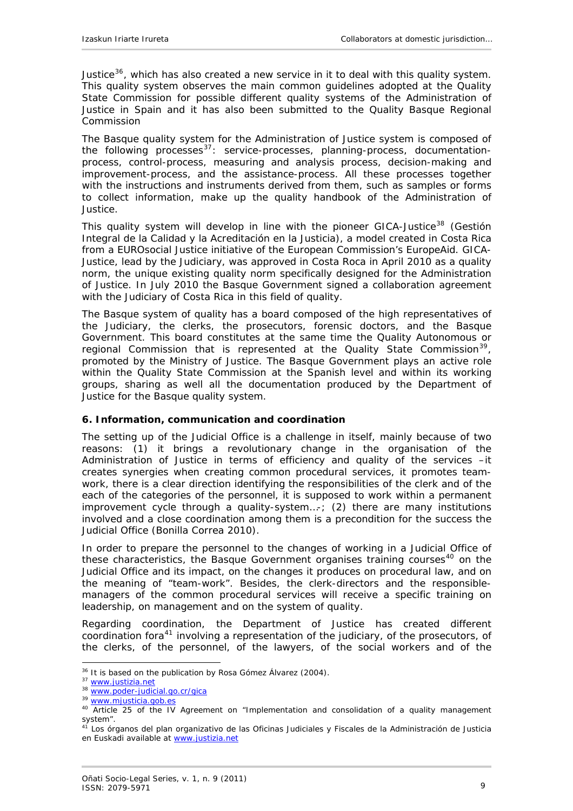<span id="page-8-0"></span>Justice $36$ , which has also created a new service in it to deal with this quality system. This quality system observes the main common guidelines adopted at the Quality State Commission for possible different quality systems of the Administration of Justice in Spain and it has also been submitted to the Quality Basque Regional Commission

The Basque quality system for the Administration of Justice system is composed of the following processes $37$ : service-processes, planning-process, documentationprocess, control-process, measuring and analysis process, decision-making and improvement-process, and the assistance-process. All these processes together with the instructions and instruments derived from them, such as samples or forms to collect information, make up the quality handbook of the Administration of Justice.

This quality system will develop in line with the pioneer GICA-Justice<sup>[38](#page-8-3)</sup> (*Gestión Integral de la Calidad y la Acreditación en la Justicia)*, a model created in Costa Rica from a EUROsocial Justice initiative of the European Commission's EuropeAid. GICA-Justice, lead by the Judiciary, was approved in Costa Roca in April 2010 as a quality norm, the unique existing quality norm specifically designed for the Administration of Justice. In July 2010 the Basque Government signed a collaboration agreement with the Judiciary of Costa Rica in this field of quality.

The Basque system of quality has a board composed of the high representatives of the Judiciary, the clerks, the prosecutors, forensic doctors, and the Basque Government. This board constitutes at the same time the Quality Autonomous or regional Commission that is represented at the Quality State Commission<sup>[39](#page-8-4)</sup>, promoted by the Ministry of Justice. The Basque Government plays an active role within the Quality State Commission at the Spanish level and within its working groups, sharing as well all the documentation produced by the Department of Justice for the Basque quality system.

## **6. Information, communication and coordination**

The setting up of the Judicial Office is a challenge in itself, mainly because of two reasons: (1) it brings a revolutionary change in the organisation of the Administration of Justice in terms of efficiency and quality of the services –it creates synergies when creating common procedural services, it promotes teamwork, there is a clear direction identifying the responsibilities of the clerk and of the each of the categories of the personnel, it is supposed to work within a permanent improvement cycle through a quality-system…-; (2) there are many institutions involved and a close coordination among them is a precondition for the success the Judicial Office (Bonilla Correa 2010).

In order to prepare the personnel to the changes of working in a Judicial Office of these characteristics, the Basque Government organises training courses<sup>[40](#page-8-5)</sup> on the Judicial Office and its impact, on the changes it produces on procedural law, and on the meaning of "team-work". Besides, the clerk-directors and the responsiblemanagers of the common procedural services will receive a specific training on leadership, on management and on the system of quality.

Regarding coordination, the Department of Justice has created different coordination fora<sup>[41](#page-8-6)</sup> involving a representation of the judiciary, of the prosecutors, of the clerks, of the personnel, of the lawyers, of the social workers and of the

<span id="page-8-1"></span> $\overline{a}$ <sup>36</sup> It is based on the publication by Rosa Gómez Álvarez (2004).<br><sup>37</sup> <u>[www.justizia.net](http://www.justizia.net/)</u><br><sup>38</sup> <u>www.poder-judicial.go.cr/gica</u>  $39$  www.<u>mjusticia.gob.es</u>

<span id="page-8-2"></span>

<span id="page-8-5"></span><span id="page-8-4"></span><span id="page-8-3"></span>

<sup>&</sup>lt;sup>40</sup> Article 25 of the IV Agreement on "Implementation and consolidation of a quality management system".

<span id="page-8-6"></span><sup>41</sup> *Los órganos del plan organizativo de las Oficinas Judiciales y Fiscales de la Administración de Justicia en Euskadi* available at [www.justizia.net](http://www.justizia.net/)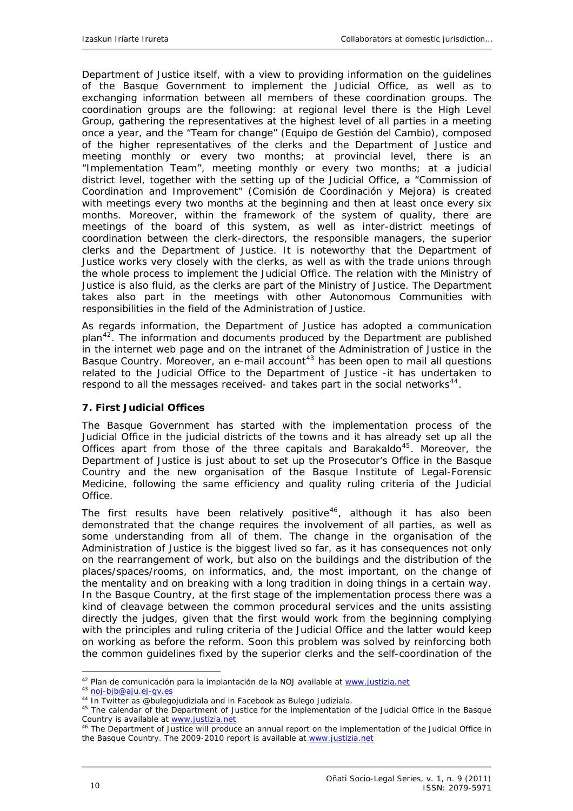<span id="page-9-0"></span>Department of Justice itself, with a view to providing information on the guidelines of the Basque Government to implement the Judicial Office, as well as to exchanging information between all members of these coordination groups. The coordination groups are the following: at regional level there is the High Level Group, gathering the representatives at the highest level of all parties in a meeting once a year, and the "Team for change" *(Equipo de Gestión del Cambio)*, composed of the higher representatives of the clerks and the Department of Justice and meeting monthly or every two months; at provincial level, there is an "Implementation Team", meeting monthly or every two months; at a judicial district level, together with the setting up of the Judicial Office, a "Commission of Coordination and Improvement" *(Comisión de Coordinación y Mejora)* is created with meetings every two months at the beginning and then at least once every six months. Moreover, within the framework of the system of quality, there are meetings of the board of this system, as well as inter-district meetings of coordination between the clerk-directors, the responsible managers, the superior clerks and the Department of Justice. It is noteworthy that the Department of Justice works very closely with the clerks, as well as with the trade unions through the whole process to implement the Judicial Office. The relation with the Ministry of Justice is also fluid, as the clerks are part of the Ministry of Justice. The Department takes also part in the meetings with other Autonomous Communities with responsibilities in the field of the Administration of Justice.

As regards information, the Department of Justice has adopted a communication plan $42$ . The information and documents produced by the Department are published in the internet web page and on the intranet of the Administration of Justice in the Basque Country. Moreover, an e-mail account<sup>[43](#page-9-2)</sup> has been open to mail all questions related to the Judicial Office to the Department of Justice -it has undertaken to respond to all the messages received- and takes part in the social networks<sup>[44](#page-9-3)</sup>.

## **7. First Judicial Offices**

The Basque Government has started with the implementation process of the Judicial Office in the judicial districts of the towns and it has already set up all the Offices apart from those of the three capitals and Barakaldo<sup>[45](#page-9-4)</sup>. Moreover, the Department of Justice is just about to set up the Prosecutor's Office in the Basque Country and the new organisation of the Basque Institute of Legal-Forensic Medicine, following the same efficiency and quality ruling criteria of the Judicial Office.

The first results have been relatively positive<sup>[46](#page-9-5)</sup>, although it has also been demonstrated that the change requires the involvement of all parties, as well as some understanding from all of them. The change in the organisation of the Administration of Justice is the biggest lived so far, as it has consequences not only on the rearrangement of work, but also on the buildings and the distribution of the places/spaces/rooms, on informatics, and, the most important, on the change of the mentality and on breaking with a long tradition in doing things in a certain way. In the Basque Country, at the first stage of the implementation process there was a kind of cleavage between the common procedural services and the units assisting directly the judges, given that the first would work from the beginning complying with the principles and ruling criteria of the Judicial Office and the latter would keep on working as before the reform. Soon this problem was solved by reinforcing both the common guidelines fixed by the superior clerks and the self-coordination of the

<span id="page-9-2"></span><span id="page-9-1"></span><sup>&</sup>lt;sup>42</sup> *Plan de comunicación para la implantación de la NOJ* available at www.justizia.net<br><sup>43</sup> [noj-bjb@aju.ej-gv.es](mailto:noj-bjb@aju.ej-gv.es)<br><sup>44</sup> In Twitter as @bulegojudiziala and in Facebook as Bulego Judiziala.

<span id="page-9-4"></span><span id="page-9-3"></span><sup>&</sup>lt;sup>45</sup> The calendar of the Department of Justice for the implementation of the Judicial Office in the Basque Country is available at [www.justizia.net](http://www.justizia.net/)

<span id="page-9-5"></span><sup>&</sup>lt;sup>46</sup> The Department of Justice will produce an annual report on the implementation of the Judicial Office in the Basque Country. The 2009-2010 report is available at [www.justizia.net](http://www.justizia.net/)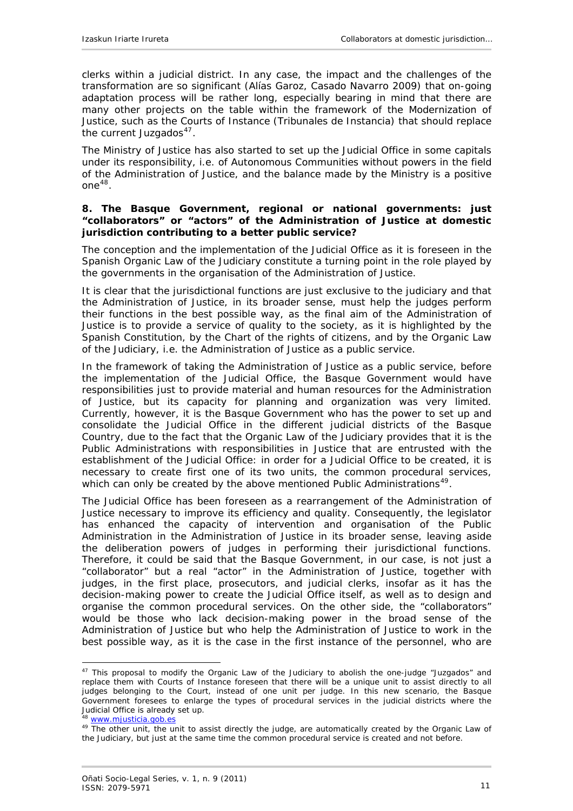<span id="page-10-0"></span>clerks within a judicial district. In any case, the impact and the challenges of the transformation are so significant (Alías Garoz, Casado Navarro 2009) that on-going adaptation process will be rather long, especially bearing in mind that there are many other projects on the table within the framework of the Modernization of Justice, such as the Courts of Instance (*Tribunales de Instancia*) that should replace the current *Juzgados[47](#page-10-1)*.

The Ministry of Justice has also started to set up the Judicial Office in some capitals under its responsibility, i.e. of Autonomous Communities without powers in the field of the Administration of Justice, and the balance made by the Ministry is a positive one<sup>[48](#page-10-2)</sup>.

#### **8. The Basque Government, regional or national governments: just "collaborators" or "actors" of the Administration of Justice at domestic jurisdiction contributing to a better public service?**

The conception and the implementation of the Judicial Office as it is foreseen in the Spanish Organic Law of the Judiciary constitute a turning point in the role played by the governments in the organisation of the Administration of Justice.

It is clear that the jurisdictional functions are just exclusive to the judiciary and that the Administration of Justice, in its broader sense, must help the judges perform their functions in the best possible way, as the final aim of the Administration of Justice is to provide a service of quality to the society, as it is highlighted by the Spanish Constitution, by the Chart of the rights of citizens, and by the Organic Law of the Judiciary, i.e. the Administration of Justice as a public service.

In the framework of taking the Administration of Justice as a public service, before the implementation of the Judicial Office, the Basque Government would have responsibilities just to provide material and human resources for the Administration of Justice, but its capacity for planning and organization was very limited. Currently, however, it is the Basque Government who has the power to set up and consolidate the Judicial Office in the different judicial districts of the Basque Country, due to the fact that the Organic Law of the Judiciary provides that it is the Public Administrations with responsibilities in Justice that are entrusted with the establishment of the Judicial Office: in order for a Judicial Office to be created, it is necessary to create first one of its two units, the common procedural services, which can only be created by the above mentioned Public Administrations<sup>[49](#page-10-3)</sup>.

The Judicial Office has been foreseen as a rearrangement of the Administration of Justice necessary to improve its efficiency and quality. Consequently, the legislator has enhanced the capacity of intervention and organisation of the Public Administration in the Administration of Justice in its broader sense, leaving aside the deliberation powers of judges in performing their jurisdictional functions. Therefore, it could be said that the Basque Government, in our case, is not just a "collaborator" but a real "actor" in the Administration of Justice, together with judges, in the first place, prosecutors, and judicial clerks, insofar as it has the decision-making power to create the Judicial Office itself, as well as to design and organise the common procedural services. On the other side, the "collaborators" would be those who lack decision-making power in the broad sense of the Administration of Justice but who help the Administration of Justice to work in the best possible way, as it is the case in the first instance of the personnel, who are

```
48 www.mjusticia.gob.es
```
<span id="page-10-1"></span><sup>&</sup>lt;sup>47</sup> This proposal to modify the Organic Law of the Judiciary to abolish the one-judge "Juzgados" and replace them with Courts of Instance foreseen that there will be a unique unit to assist directly to all judges belonging to the Court, instead of one unit per judge. In this new scenario, the Basque Government foresees to enlarge the types of procedural services in the judicial districts where the Judicial Office is already set up.

<span id="page-10-3"></span><sup>&</sup>lt;sup>49</sup> The other unit, the unit to assist directly the judge, are automatically created by the Organic Law of the Judiciary, but just at the same time the common procedural service is created and not before.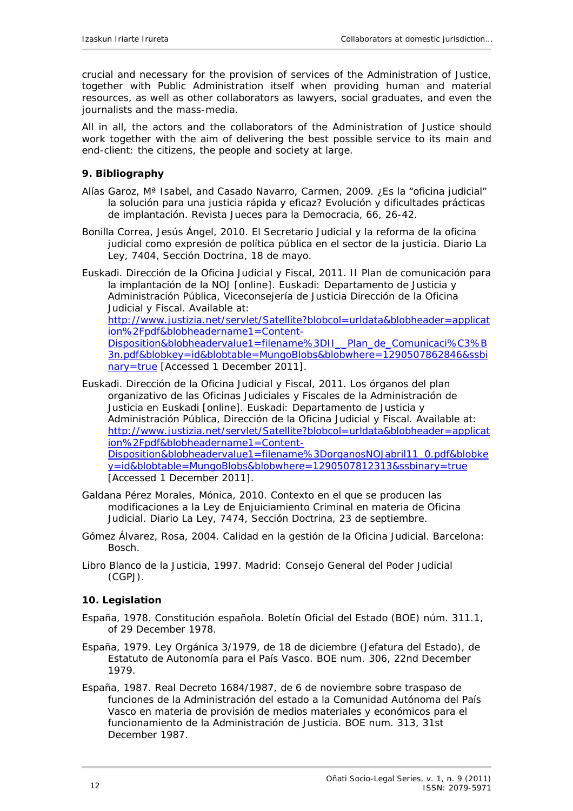<span id="page-11-0"></span>crucial and necessary for the provision of services of the Administration of Justice, together with Public Administration itself when providing human and material resources, as well as other collaborators as lawyers, social graduates, and even the journalists and the mass-media.

All in all, the actors and the collaborators of the Administration of Justice should work together with the aim of delivering the best possible service to its main and end-client: the citizens, the people and society at large.

## **9. Bibliography**

- Alías Garoz, Mª Isabel, and Casado Navarro, Carmen, 2009. ¿Es la "oficina judicial" la solución para una justicia rápida y eficaz? Evolución y dificultades prácticas de implantación. *Revista Jueces para la Democracia*, 66, 26-42.
- Bonilla Correa, Jesús Ángel, 2010. El Secretario Judicial y la reforma de la oficina judicial como expresión de política pública en el sector de la justicia. *Diario La Ley*, 7404, Sección Doctrina, 18 de mayo.
- Euskadi. Dirección de la Oficina Judicial y Fiscal, 2011. *II Plan de comunicación para la implantación de la NOJ* [online]. Euskadi: Departamento de Justicia y Administración Pública, Viceconsejería de Justicia Dirección de la Oficina Judicial y Fiscal. Available at: [http://www.justizia.net/servlet/Satellite?blobcol=urldata&blobheader=applicat](http://www.justizia.net/servlet/Satellite?blobcol=urldata&blobheader=application%2Fpdf&blobheadername1=Content-Disposition&blobheadervalue1=filename%3DII__Plan_de_Comunicaci%C3%B3n.pdf&blobkey=id&blobtable=MungoBlobs&blobwhere=1290507862846&ssbinary=true) [ion%2Fpdf&blobheadername1=Content-](http://www.justizia.net/servlet/Satellite?blobcol=urldata&blobheader=application%2Fpdf&blobheadername1=Content-Disposition&blobheadervalue1=filename%3DII__Plan_de_Comunicaci%C3%B3n.pdf&blobkey=id&blobtable=MungoBlobs&blobwhere=1290507862846&ssbinary=true)[Disposition&blobheadervalue1=filename%3DII\\_\\_Plan\\_de\\_Comunicaci%C3%B](http://www.justizia.net/servlet/Satellite?blobcol=urldata&blobheader=application%2Fpdf&blobheadername1=Content-Disposition&blobheadervalue1=filename%3DII__Plan_de_Comunicaci%C3%B3n.pdf&blobkey=id&blobtable=MungoBlobs&blobwhere=1290507862846&ssbinary=true) [3n.pdf&blobkey=id&blobtable=MungoBlobs&blobwhere=1290507862846&ssbi](http://www.justizia.net/servlet/Satellite?blobcol=urldata&blobheader=application%2Fpdf&blobheadername1=Content-Disposition&blobheadervalue1=filename%3DII__Plan_de_Comunicaci%C3%B3n.pdf&blobkey=id&blobtable=MungoBlobs&blobwhere=1290507862846&ssbinary=true)

[nary=true](http://www.justizia.net/servlet/Satellite?blobcol=urldata&blobheader=application%2Fpdf&blobheadername1=Content-Disposition&blobheadervalue1=filename%3DII__Plan_de_Comunicaci%C3%B3n.pdf&blobkey=id&blobtable=MungoBlobs&blobwhere=1290507862846&ssbinary=true) [Accessed 1 December 2011].

- Euskadi. Dirección de la Oficina Judicial y Fiscal, 2011. *Los órganos del plan organizativo de las Oficinas Judiciales y Fiscales de la Administración de Justicia en Euskadi* [online]. Euskadi: Departamento de Justicia y Administración Pública, Dirección de la Oficina Judicial y Fiscal. Available at: [http://www.justizia.net/servlet/Satellite?blobcol=urldata&blobheader=applicat](http://www.justizia.net/servlet/Satellite?blobcol=urldata&blobheader=application%2Fpdf&blobheadername1=Content-Disposition&blobheadervalue1=filename%3DorganosNOJabril11_0.pdf&blobkey=id&blobtable=MungoBlobs&blobwhere=1290507812313&ssbinary=true) [ion%2Fpdf&blobheadername1=Content-](http://www.justizia.net/servlet/Satellite?blobcol=urldata&blobheader=application%2Fpdf&blobheadername1=Content-Disposition&blobheadervalue1=filename%3DorganosNOJabril11_0.pdf&blobkey=id&blobtable=MungoBlobs&blobwhere=1290507812313&ssbinary=true)[Disposition&blobheadervalue1=filename%3DorganosNOJabril11\\_0.pdf&blobke](http://www.justizia.net/servlet/Satellite?blobcol=urldata&blobheader=application%2Fpdf&blobheadername1=Content-Disposition&blobheadervalue1=filename%3DorganosNOJabril11_0.pdf&blobkey=id&blobtable=MungoBlobs&blobwhere=1290507812313&ssbinary=true) [y=id&blobtable=MungoBlobs&blobwhere=1290507812313&ssbinary=true](http://www.justizia.net/servlet/Satellite?blobcol=urldata&blobheader=application%2Fpdf&blobheadername1=Content-Disposition&blobheadervalue1=filename%3DorganosNOJabril11_0.pdf&blobkey=id&blobtable=MungoBlobs&blobwhere=1290507812313&ssbinary=true) [Accessed 1 December 2011].
- Galdana Pérez Morales, Mónica, 2010. Contexto en el que se producen las modificaciones a la Ley de Enjuiciamiento Criminal en materia de Oficina Judicial. *Diario La Ley*, 7474, Sección Doctrina, 23 de septiembre.
- Gómez Álvarez, Rosa, 2004. *Calidad en la gestión de la Oficina Judicial*. Barcelona: Bosch.
- *Libro Blanco de la Justicia,* 1997. Madrid: Consejo General del Poder Judicial (CGPJ).

## **10. Legislation**

- España, 1978. *Constitución española*. Boletín Oficial del Estado (BOE) núm. 311.1, of 29 December 1978.
- España, 1979. Ley Orgánica 3/1979, de 18 de diciembre (Jefatura del Estado), de Estatuto de Autonomía para el País Vasco. BOE num. 306, 22nd December 1979.
- España, 1987. Real Decreto 1684/1987, de 6 de noviembre sobre traspaso de funciones de la Administración del estado a la Comunidad Autónoma del País Vasco en materia de provisión de medios materiales y económicos para el funcionamiento de la Administración de Justicia. BOE num. 313, 31st December 1987.